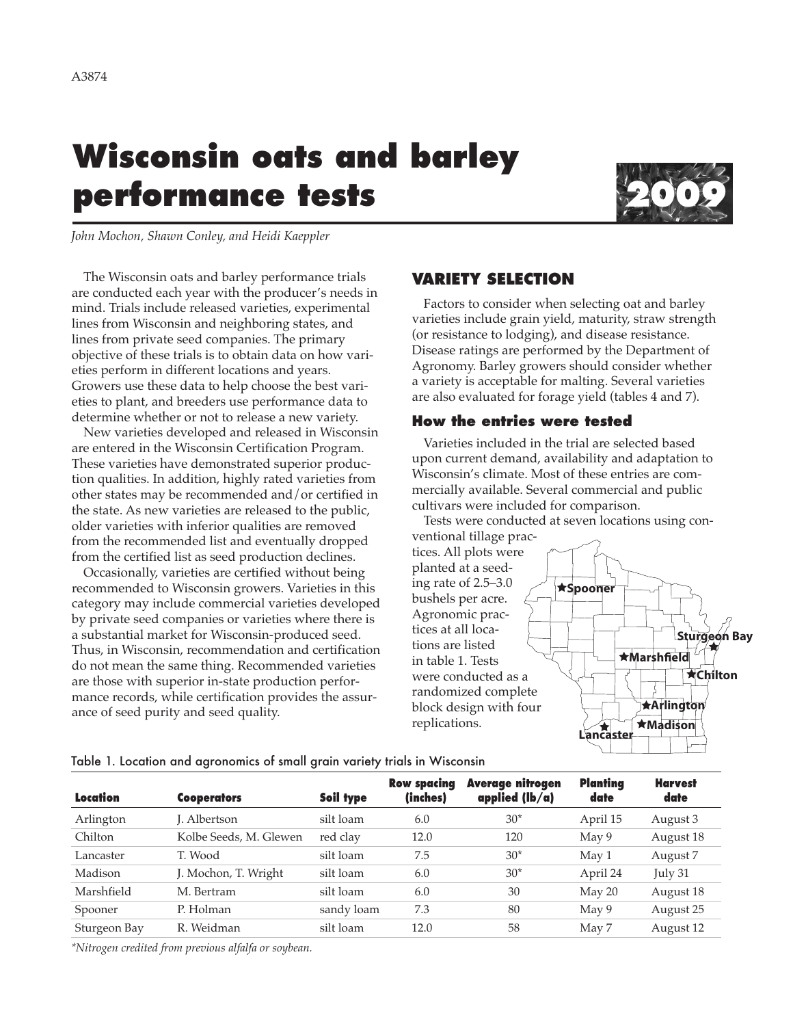# **Wisconsin oats and barley performance tests 2009**



*John Mochon, Shawn Conley, and Heidi Kaeppler*

The Wisconsin oats and barley performance trials are conducted each year with the producer's needs in mind. Trials include released varieties, experimental lines from Wisconsin and neighboring states, and lines from private seed companies. The primary objective of these trials is to obtain data on how varieties perform in different locations and years. Growers use these data to help choose the best varieties to plant, and breeders use performance data to determine whether or not to release a new variety.

New varieties developed and released in Wisconsin are entered in the Wisconsin Certification Program. These varieties have demonstrated superior production qualities. In addition, highly rated varieties from other states may be recommended and/or certified in the state. As new varieties are released to the public, older varieties with inferior qualities are removed from the recommended list and eventually dropped from the certified list as seed production declines.

Occasionally, varieties are certified without being recommended to Wisconsin growers. Varieties in this category may include commercial varieties developed by private seed companies or varieties where there is a substantial market for Wisconsin-produced seed. Thus, in Wisconsin, recommendation and certification do not mean the same thing. Recommended varieties are those with superior in-state production performance records, while certification provides the assurance of seed purity and seed quality.

## **VARIETY SELECTION**

Factors to consider when selecting oat and barley varieties include grain yield, maturity, straw strength (or resistance to lodging), and disease resistance. Disease ratings are performed by the Department of Agronomy. Barley growers should consider whether a variety is acceptable for malting. Several varieties are also evaluated for forage yield (tables 4 and 7).

#### **How the entries were tested**

Varieties included in the trial are selected based upon current demand, availability and adaptation to Wisconsin's climate. Most of these entries are commercially available. Several commercial and public cultivars were included for comparison.

Tests were conducted at seven locations using con-



| Location     | <b>Cooperators</b>     | Soil type  | <b>Row spacing</b><br>(inches) | Average nitrogen<br>applied $(lb/a)$ | Planting<br>date | <b>Harvest</b><br>date |
|--------------|------------------------|------------|--------------------------------|--------------------------------------|------------------|------------------------|
| Arlington    | I. Albertson           | silt loam  | 6.0                            | $30*$                                | April 15         | August 3               |
| Chilton      | Kolbe Seeds, M. Glewen | red clay   | 12.0                           | 120                                  | May 9            | August 18              |
| Lancaster    | T. Wood                | silt loam  | 7.5                            | $30*$                                | May 1            | August 7               |
| Madison      | J. Mochon, T. Wright   | silt loam  | 6.0                            | $30*$                                | April 24         | July 31                |
| Marshfield   | M. Bertram             | silt loam  | 6.0                            | 30                                   | May 20           | August 18              |
| Spooner      | P. Holman              | sandy loam | 7.3                            | 80                                   | May 9            | August 25              |
| Sturgeon Bay | R. Weidman             | silt loam  | 12.0                           | 58                                   | May 7            | August 12              |

Table 1. Location and agronomics of small grain variety trials in Wisconsin

*\*Nitrogen credited from previous alfalfa or soybean.*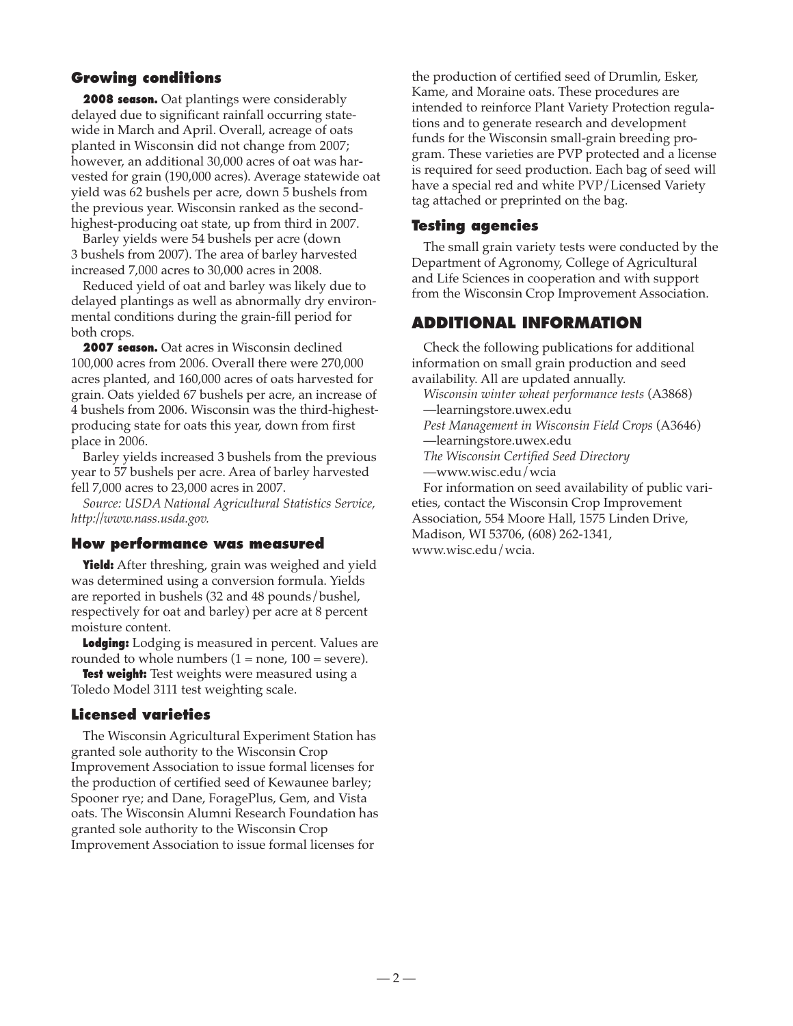## **Growing conditions**

**2008 season.** Oat plantings were considerably delayed due to significant rainfall occurring statewide in March and April. Overall, acreage of oats planted in Wisconsin did not change from 2007; however, an additional 30,000 acres of oat was harvested for grain (190,000 acres). Average statewide oat yield was 62 bushels per acre, down 5 bushels from the previous year. Wisconsin ranked as the secondhighest-producing oat state, up from third in 2007.

Barley yields were 54 bushels per acre (down 3 bushels from 2007). The area of barley harvested increased 7,000 acres to 30,000 acres in 2008.

Reduced yield of oat and barley was likely due to delayed plantings as well as abnormally dry environmental conditions during the grain-fill period for both crops.

**2007 season.** Oat acres in Wisconsin declined 100,000 acres from 2006. Overall there were 270,000 acres planted, and 160,000 acres of oats harvested for grain. Oats yielded 67 bushels per acre, an increase of 4 bushels from 2006. Wisconsin was the third-highestproducing state for oats this year, down from first place in 2006.

Barley yields increased 3 bushels from the previous year to 57 bushels per acre. Area of barley harvested fell 7,000 acres to 23,000 acres in 2007.

*Source: USDA National Agricultural Statistics Service, http://www.nass.usda.gov.*

#### **How performance was measured**

**Yield:** After threshing, grain was weighed and yield was determined using a conversion formula. Yields are reported in bushels (32 and 48 pounds/bushel, respectively for oat and barley) per acre at 8 percent moisture content.

**Lodging:** Lodging is measured in percent. Values are rounded to whole numbers  $(1 = none, 100 = severe)$ .

**Test weight:** Test weights were measured using a Toledo Model 3111 test weighting scale.

## **Licensed varieties**

The Wisconsin Agricultural Experiment Station has granted sole authority to the Wisconsin Crop Improvement Association to issue formal licenses for the production of certified seed of Kewaunee barley; Spooner rye; and Dane, ForagePlus, Gem, and Vista oats. The Wisconsin Alumni Research Foundation has granted sole authority to the Wisconsin Crop Improvement Association to issue formal licenses for

the production of certified seed of Drumlin, Esker, Kame, and Moraine oats. These procedures are intended to reinforce Plant Variety Protection regulations and to generate research and development funds for the Wisconsin small-grain breeding program. These varieties are PVP protected and a license is required for seed production. Each bag of seed will have a special red and white PVP/Licensed Variety tag attached or preprinted on the bag.

#### **Testing agencies**

The small grain variety tests were conducted by the Department of Agronomy, College of Agricultural and Life Sciences in cooperation and with support from the Wisconsin Crop Improvement Association.

# **ADDITIONAL INFORMATION**

Check the following publications for additional information on small grain production and seed availability. All are updated annually.

*Wisconsin winter wheat performance tests* (A3868) —learningstore.uwex.edu

*Pest Management in Wisconsin Field Crops* (A3646) —learningstore.uwex.edu

*The Wisconsin Certified Seed Directory* —www.wisc.edu/wcia

For information on seed availability of public varieties, contact the Wisconsin Crop Improvement Association, 554 Moore Hall, 1575 Linden Drive, Madison, WI 53706, (608) 262-1341, www.wisc.edu/wcia.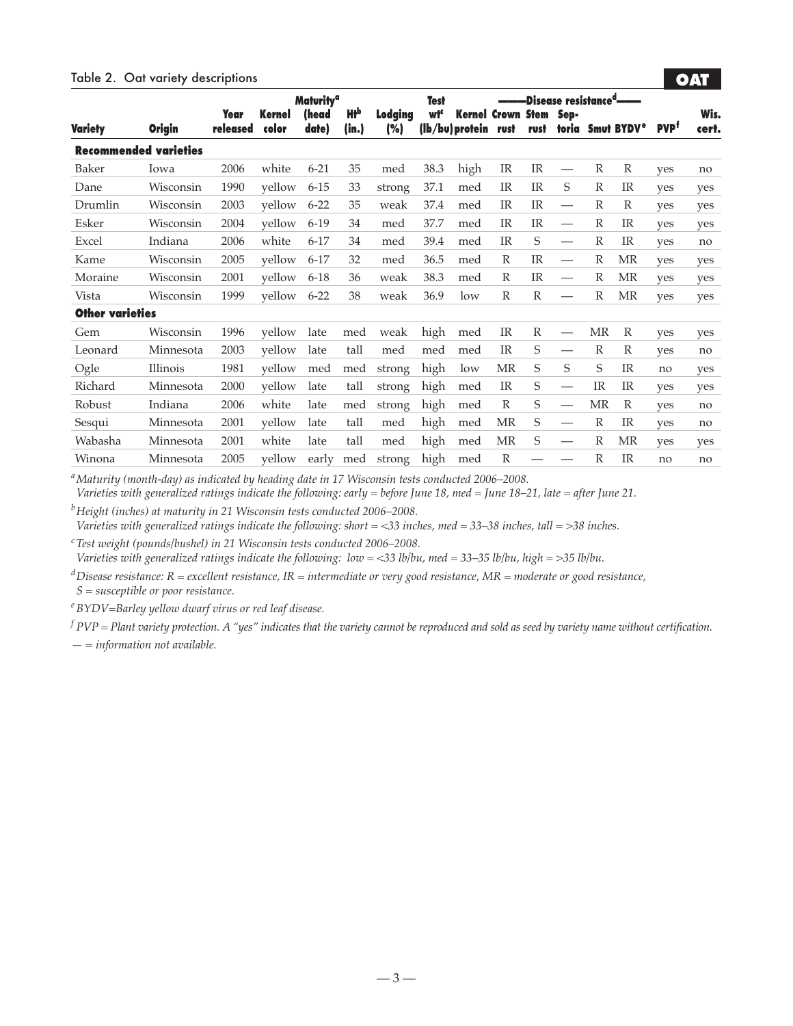#### Table 2. Oat variety descriptions

|                        |                              |                  |                 | <b>Maturity<sup>a</sup></b> |              |                | <b>Test</b>     |                                             |              |              | -Disease resistance <sup>a</sup> ——— |              |                                   |                         |               |
|------------------------|------------------------------|------------------|-----------------|-----------------------------|--------------|----------------|-----------------|---------------------------------------------|--------------|--------------|--------------------------------------|--------------|-----------------------------------|-------------------------|---------------|
| <b>Variety</b>         | <b>Origin</b>                | Year<br>released | Kernel<br>color | (head<br>date)              | Нłр<br>(in.) | Lodging<br>(%) | wł <sup>c</sup> | <b>Kernel Crown Stem</b><br>(lb/bu) protein | rust         | rust         | Sep-                                 |              | toria Smut BYDV <sup>e</sup>      | <b>PVP</b> <sup>f</sup> | Wis.<br>cert. |
|                        | <b>Recommended varieties</b> |                  |                 |                             |              |                |                 |                                             |              |              |                                      |              |                                   |                         |               |
| Baker                  | Iowa                         | 2006             | white           | $6 - 21$                    | 35           | med            | 38.3            | high                                        | IR           | IR           | $\hspace{0.1mm}-\hspace{0.1mm}$      | $\mathbb{R}$ | $\mathbb{R}$                      | yes                     | no            |
| Dane                   | Wisconsin                    | 1990             | yellow          | $6 - 15$                    | 33           | strong         | 37.1            | med                                         | <b>IR</b>    | IR           | S                                    | $\mathbb{R}$ | <b>IR</b>                         | yes                     | yes           |
| Drumlin                | Wisconsin                    | 2003             | yellow          | $6 - 22$                    | 35           | weak           | 37.4            | med                                         | IR           | IR           | $\hspace{0.05cm}$                    | $\mathbb{R}$ | $\mathbb R$                       | yes                     | yes           |
| Esker                  | Wisconsin                    | 2004             | yellow          | $6-19$                      | 34           | med            | 37.7            | med                                         | IR           | <b>IR</b>    | $\hspace{0.05cm}$                    | $\mathbb{R}$ | IR                                | yes                     | yes           |
| Excel                  | Indiana                      | 2006             | white           | $6 - 17$                    | 34           | med            | 39.4            | med                                         | <b>IR</b>    | S            | $\hspace{0.05cm}$                    | $\mathbb{R}$ | IR                                | ves                     | no            |
| Kame                   | Wisconsin                    | 2005             | yellow          | $6 - 17$                    | 32           | med            | 36.5            | med                                         | $\mathbb{R}$ | <b>IR</b>    | $\qquad \qquad$                      | $\mathbb{R}$ | $\ensuremath{\mathsf{MR}}\xspace$ | yes                     | yes           |
| Moraine                | Wisconsin                    | 2001             | yellow          | $6 - 18$                    | 36           | weak           | 38.3            | med                                         | $\mathbb{R}$ | <b>IR</b>    |                                      | $\mathbb{R}$ | MR                                | yes                     | yes           |
| Vista                  | Wisconsin                    | 1999             | yellow          | $6 - 22$                    | 38           | weak           | 36.9            | low                                         | $\mathbb{R}$ | $\mathbb{R}$ | $\qquad \qquad$                      | $\mathbb{R}$ | MR                                | yes                     | yes           |
| <b>Other varieties</b> |                              |                  |                 |                             |              |                |                 |                                             |              |              |                                      |              |                                   |                         |               |
| Gem                    | Wisconsin                    | 1996             | vellow          | late                        | med          | weak           | high            | med                                         | IR           | $\mathbb{R}$ | $\hspace{0.05cm}$                    | MR           | $\mathbb{R}$                      | yes                     | yes           |
| Leonard                | Minnesota                    | 2003             | yellow          | late                        | tall         | med            | med             | med                                         | <b>IR</b>    | S            | $\hspace{0.05cm}$                    | $\mathbb{R}$ | $\mathbb R$                       | yes                     | no            |
| Ogle                   | Illinois                     | 1981             | yellow          | med                         | med          | strong         | high            | low                                         | MR           | S            | S                                    | S            | IR                                | no                      | yes           |
| Richard                | Minnesota                    | 2000             | yellow          | late                        | tall         | strong         | high            | med                                         | <b>IR</b>    | S            | $\hspace{0.05cm}$                    | <b>IR</b>    | <b>IR</b>                         | yes                     | yes           |
| Robust                 | Indiana                      | 2006             | white           | late                        | med          | strong         | high            | med                                         | $\mathbb{R}$ | S            | $\overbrace{\phantom{12333}}$        | MR           | $\mathbb{R}$                      | ves                     | no            |
| Sesqui                 | Minnesota                    | 2001             | yellow          | late                        | tall         | med            | high            | med                                         | MR           | S            | $\hspace{0.05cm}$                    | $\mathbb{R}$ | IR                                | yes                     | no            |
| Wabasha                | Minnesota                    | 2001             | white           | late                        | tall         | med            | high            | med                                         | MR           | S            | $\hspace{0.05cm}$                    | $\mathbb{R}$ | MR                                | yes                     | yes           |
| Winona                 | Minnesota                    | 2005             | vellow          | early                       | med          | strong         | high            | med                                         | $\mathbb{R}$ |              |                                      | $\mathbb{R}$ | <b>IR</b>                         | no                      | no            |

**•OAT•**

*aMaturity (month-day) as indicated by heading date in 17 Wisconsin tests conducted 2006–2008.*

*Varieties with generalized ratings indicate the following: early = before June 18, med = June 18–21, late = after June 21.*

*bHeight (inches) at maturity in 21 Wisconsin tests conducted 2006–2008.*

*Varieties with generalized ratings indicate the following: short = <33 inches, med = 33–38 inches, tall = >38 inches.*

*cTest weight (pounds/bushel) in 21 Wisconsin tests conducted 2006–2008.*

*Varieties with generalized ratings indicate the following: low = <33 lb/bu, med = 33–35 lb/bu, high = >35 lb/bu.*

*dDisease resistance: R = excellent resistance, IR = intermediate or very good resistance, MR = moderate or good resistance, S = susceptible or poor resistance.*

*eBYDV=Barley yellow dwarf virus or red leaf disease.*

*<sup>f</sup> PVP = Plant variety protection. A "yes" indicates that the variety cannot be reproduced and sold as seed by variety name without certification.*

*— = information not available.*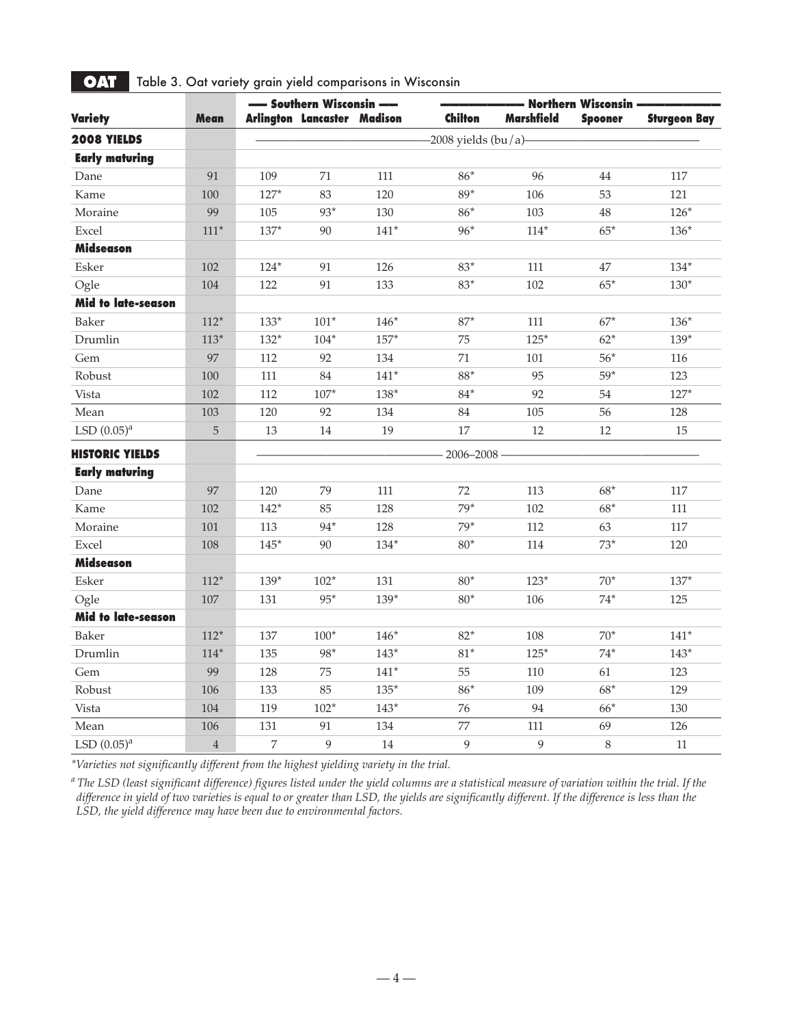|                           |                | - Southern Wisconsin |                             |        | - Northern Wisconsin ·  |                   |                |                     |  |
|---------------------------|----------------|----------------------|-----------------------------|--------|-------------------------|-------------------|----------------|---------------------|--|
| <b>Variety</b>            | <b>Mean</b>    |                      | Arlington Lancaster Madison |        | <b>Chilton</b>          | <b>Marshfield</b> | <b>Spooner</b> | <b>Sturgeon Bay</b> |  |
| 2008 YIELDS               |                |                      |                             |        | $-2008$ yields $(bu/a)$ |                   |                |                     |  |
| <b>Early maturing</b>     |                |                      |                             |        |                         |                   |                |                     |  |
| Dane                      | 91             | 109                  | 71                          | 111    | $86*$                   | 96                | 44             | 117                 |  |
| Kame                      | 100            | $127*$               | 83                          | 120    | $89*$                   | 106               | 53             | 121                 |  |
| Moraine                   | 99             | 105                  | 93*                         | 130    | $86*$                   | 103               | 48             | $126*$              |  |
| Excel                     | $111*$         | $137*$               | 90                          | $141*$ | $96*$                   | $114*$            | $65*$          | $136*$              |  |
| <b>Midseason</b>          |                |                      |                             |        |                         |                   |                |                     |  |
| Esker                     | 102            | $124*$               | 91                          | 126    | $83*$                   | 111               | 47             | $134*$              |  |
| Ogle                      | 104            | 122                  | 91                          | 133    | $83*$                   | 102               | $65*$          | $130*$              |  |
| <b>Mid to late-season</b> |                |                      |                             |        |                         |                   |                |                     |  |
| Baker                     | $112*$         | $133*$               | $101*$                      | $146*$ | $87*$                   | 111               | $67*$          | $136*$              |  |
| Drumlin                   | $113*$         | $132*$               | $104*$                      | $157*$ | 75                      | $125*$            | $62*$          | $139*$              |  |
| Gem                       | 97             | 112                  | 92                          | 134    | 71                      | 101               | $56*$          | 116                 |  |
| Robust                    | 100            | 111                  | 84                          | $141*$ | $88^{\star}$            | 95                | $59*$          | 123                 |  |
| Vista                     | 102            | 112                  | $107*$                      | $138*$ | $84*$                   | 92                | 54             | $127*$              |  |
| Mean                      | 103            | 120                  | 92                          | 134    | 84                      | 105               | 56             | 128                 |  |
| LSD $(0.05)^a$            | $\mathbf 5$    | 13                   | $14\,$                      | 19     | 17                      | 12                | 12             | 15                  |  |
| <b>HISTORIC YIELDS</b>    |                |                      |                             |        | $-2006 - 2008$          |                   |                |                     |  |
| <b>Early maturing</b>     |                |                      |                             |        |                         |                   |                |                     |  |
| Dane                      | 97             | 120                  | 79                          | 111    | 72                      | 113               | $68*$          | 117                 |  |
| Kame                      | 102            | $142*$               | 85                          | 128    | $79*$                   | 102               | $68*$          | 111                 |  |
| Moraine                   | 101            | 113                  | 94*                         | 128    | $79*$                   | 112               | 63             | 117                 |  |
| Excel                     | 108            | $145*$               | 90                          | $134*$ | $80*$                   | 114               | $73*$          | 120                 |  |
| <b>Midseason</b>          |                |                      |                             |        |                         |                   |                |                     |  |
| Esker                     | $112*$         | $139*$               | $102*$                      | 131    | $80^{\star}$            | $123*$            | $70*$          | $137*$              |  |
| Ogle                      | 107            | 131                  | $95*$                       | $139*$ | $80*$                   | 106               | $74*$          | 125                 |  |
| <b>Mid to late-season</b> |                |                      |                             |        |                         |                   |                |                     |  |
| Baker                     | $112*$         | 137                  | $100*$                      | $146*$ | $82*$                   | 108               | $70*$          | $141*$              |  |
| Drumlin                   | $114*$         | 135                  | 98*                         | $143*$ | $81^{\star}$            | $125*$            | $74*$          | $143*$              |  |
| Gem                       | 99             | 128                  | 75                          | $141*$ | 55                      | 110               | 61             | 123                 |  |
| Robust                    | 106            | 133                  | 85                          | $135*$ | $86*$                   | 109               | $68*$          | 129                 |  |
| Vista                     | 104            | 119                  | $102*$                      | $143*$ | 76                      | 94                | $66*$          | 130                 |  |
| Mean                      | 106            | 131                  | 91                          | 134    | 77                      | 111               | 69             | 126                 |  |
| LSD $(0.05)^a$            | $\overline{4}$ | 7                    | 9                           | 14     | 9                       | 9                 | $\,8\,$        | 11                  |  |

**• OAT** Table 3. Oat variety grain yield comparisons in Wisconsin

*\*Varieties not significantly different from the highest yielding variety in the trial.*

*<sup>a</sup> The LSD (least significant difference) figures listed under the yield columns are a statistical measure of variation within the trial. If the difference in yield of two varieties is equal to or greater than LSD, the yields are significantly different. If the difference is less than the LSD, the yield difference may have been due to environmental factors.*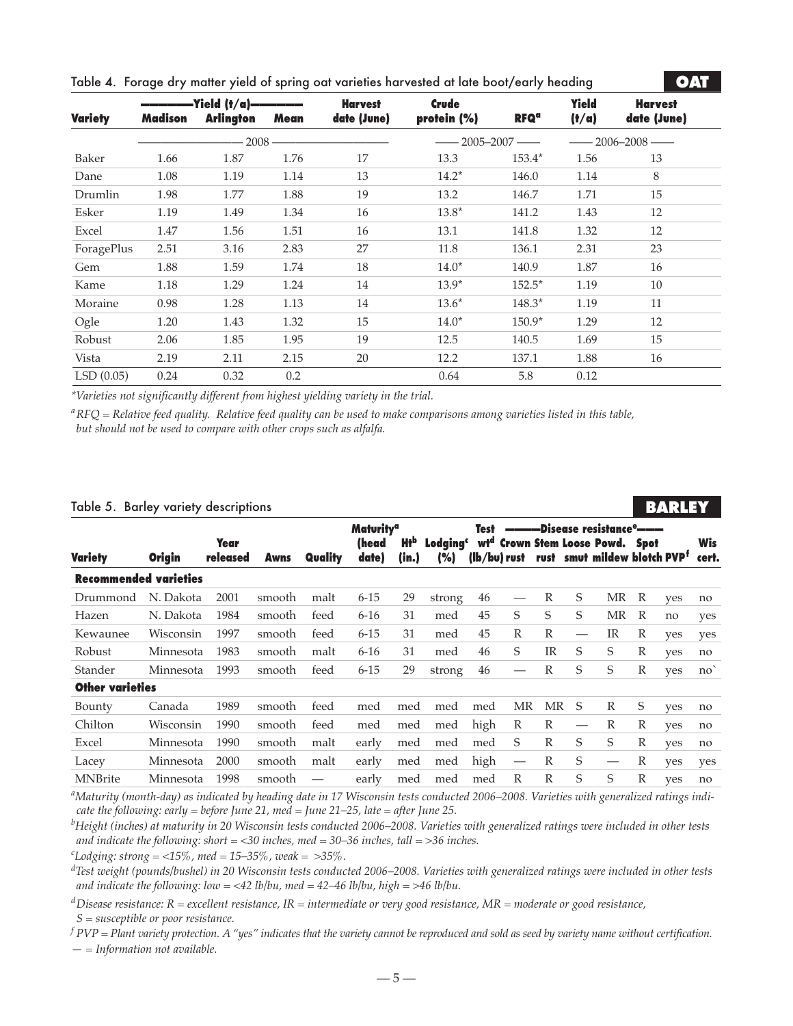|  |  | Table 4. Forage dry matter yield of spring oat varieties harvested at late boot/early heading |  |  |
|--|--|-----------------------------------------------------------------------------------------------|--|--|
|  |  |                                                                                               |  |  |

| <b>Variety</b> | Madison | <b>Arlington</b> Mean |      | <b>Harvest</b><br>date (June) | <b>Crude</b><br>protein (%) | <b>RFQ<sup>a</sup></b> | <b>Yield</b><br>(t/a) | <b>Harvest</b><br>date (June) |
|----------------|---------|-----------------------|------|-------------------------------|-----------------------------|------------------------|-----------------------|-------------------------------|
|                |         |                       |      |                               |                             | $-2005-2007$ $-$       |                       | $-2006-2008$ $-$              |
| Baker          | 1.66    | 1.87                  | 1.76 | 17                            | 13.3                        | $153.4*$               | 1.56                  | 13                            |
| Dane           | 1.08    | 1.19                  | 1.14 | 13                            | $14.2*$                     | 146.0                  | 1.14                  | 8                             |
| Drumlin        | 1.98    | 1.77                  | 1.88 | 19                            | 13.2                        | 146.7                  | 1.71                  | 15                            |
| Esker          | 1.19    | 1.49                  | 1.34 | 16                            | $13.8*$                     | 141.2                  | 1.43                  | 12                            |
| Excel          | 1.47    | 1.56                  | 1.51 | 16                            | 13.1                        | 141.8                  | 1.32                  | 12                            |
| ForagePlus     | 2.51    | 3.16                  | 2.83 | 27                            | 11.8                        | 136.1                  | 2.31                  | 23                            |
| Gem            | 1.88    | 1.59                  | 1.74 | 18                            | $14.0*$                     | 140.9                  | 1.87                  | 16                            |
| Kame           | 1.18    | 1.29                  | 1.24 | 14                            | $13.9*$                     | $152.5*$               | 1.19                  | 10                            |
| Moraine        | 0.98    | 1.28                  | 1.13 | 14                            | $13.6*$                     | $148.3*$               | 1.19                  | 11                            |
| Ogle           | 1.20    | 1.43                  | 1.32 | 15                            | $14.0*$                     | $150.9*$               | 1.29                  | 12                            |
| Robust         | 2.06    | 1.85                  | 1.95 | 19                            | 12.5                        | 140.5                  | 1.69                  | 15                            |
| Vista          | 2.19    | 2.11                  | 2.15 | 20                            | 12.2                        | 137.1                  | 1.88                  | 16                            |
| LSD(0.05)      | 0.24    | 0.32                  | 0.2  |                               | 0.64                        | 5.8                    | 0.12                  |                               |

*\*Varieties not significantly different from highest yielding variety in the trial.*

*aRFQ = Relative feed quality. Relative feed quality can be used to make comparisons among varieties listed in this table, but should not be used to compare with other crops such as alfalfa.*

#### Table 5. Barley variety descriptions

|                              |               |                  |        |         |                             |                                 |                                |                 |                          |             |    |                                                                           |              | .   |                     |
|------------------------------|---------------|------------------|--------|---------|-----------------------------|---------------------------------|--------------------------------|-----------------|--------------------------|-------------|----|---------------------------------------------------------------------------|--------------|-----|---------------------|
|                              |               |                  |        |         | <b>Maturity<sup>a</sup></b> |                                 |                                | <b>Test</b>     |                          |             |    | -Disease resistance <sup>e</sup> ———                                      |              |     |                     |
| <b>Variety</b>               | <b>Origin</b> | Year<br>released | Awns   | Quality | (head<br>date)              | <b>Ht</b> <sub>p</sub><br>(in.) | Lodaina <sup>c</sup><br>$(\%)$ | wt <sup>a</sup> | (lb/bu) rust             | rust        |    | <b>Crown Stem Loose Powd. Spot</b><br>smut mildew blotch PVP <sup>f</sup> |              |     | <b>Wis</b><br>cert. |
| <b>Recommended varieties</b> |               |                  |        |         |                             |                                 |                                |                 |                          |             |    |                                                                           |              |     |                     |
| Drummond                     | N. Dakota     | 2001             | smooth | malt    | $6 - 15$                    | 29                              | strong                         | 46              |                          | R           | S  | ΜR                                                                        | R            | yes | no                  |
| Hazen                        | N. Dakota     | 1984             | smooth | feed    | $6 - 16$                    | 31                              | med                            | 45              | S                        | S           | S  | MR                                                                        | R            | no  | yes                 |
| Kewaunee                     | Wisconsin     | 1997             | smooth | feed    | $6 - 15$                    | 31                              | med                            | 45              | R                        | R           |    | IR                                                                        | $\mathbb{R}$ | yes | yes                 |
| Robust                       | Minnesota     | 1983             | smooth | malt    | $6 - 16$                    | 31                              | med                            | 46              | S                        | $_{\rm IR}$ | S  | S                                                                         | R            | yes | no                  |
| Stander                      | Minnesota     | 1993             | smooth | feed    | $6 - 15$                    | 29                              | strong                         | 46              |                          | R           | S  | S                                                                         | $\mathbb{R}$ | yes | $no^{\dagger}$      |
| <b>Other varieties</b>       |               |                  |        |         |                             |                                 |                                |                 |                          |             |    |                                                                           |              |     |                     |
| Bounty                       | Canada        | 1989             | smooth | feed    | med                         | med                             | med                            | med             | MR                       | MR          | -S | R                                                                         | S            | ves | no                  |
| Chilton                      | Wisconsin     | 1990             | smooth | feed    | med                         | med                             | med                            | high            | $\mathbb{R}$             | R           |    | $\mathbb{R}$                                                              | $\mathbb{R}$ | yes | no                  |
| Excel                        | Minnesota     | 1990             | smooth | malt    | early                       | med                             | med                            | med             | S                        | R           | S  | S                                                                         | R            | ves | no                  |
| Lacey                        | Minnesota     | 2000             | smooth | malt    | early                       | med                             | med                            | high            | $\overline{\phantom{m}}$ | R           | S  | $\hspace{0.05cm}$                                                         | R            | yes | yes                 |
| <b>MNBrite</b>               | Minnesota     | 1998             | smooth |         | early                       | med                             | med                            | med             | $\mathbb{R}$             | R           | S  | S                                                                         | $\mathbb{R}$ | yes | no                  |

**BARLEY** 

**•OAT•**

*a Maturity (month-day) as indicated by heading date in 17 Wisconsin tests conducted 2006–2008. Varieties with generalized ratings indicate the following: early = before June 21, med = June 21–25, late = after June 25.*

*b Height (inches) at maturity in 20 Wisconsin tests conducted 2006–2008. Varieties with generalized ratings were included in other tests and indicate the following: short = <30 inches, med = 30–36 inches, tall = >36 inches.*

*c Lodging: strong = <15%, med = 15–35%, weak = >35%.*

*d Test weight (pounds/bushel) in 20 Wisconsin tests conducted 2006–2008. Varieties with generalized ratings were included in other tests and indicate the following: low = <42 lb/bu, med = 42–46 lb/bu, high = >46 lb/bu.*

*dDisease resistance: R = excellent resistance, IR = intermediate or very good resistance, MR = moderate or good resistance, S = susceptible or poor resistance.*

*<sup>f</sup> PVP = Plant variety protection. A "yes" indicates that the variety cannot be reproduced and sold as seed by variety name without certification. — = Information not available.*